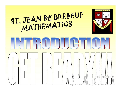### ST. JEAN DE BREBEUF<br>MATHEMATICS **BREBEUF** EI DE т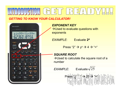#### HNI EXAMPLITET

#### GETTING TO KNOW YOUR CALCULATOR!



EXPONENT KEY  $\rightarrow$  Used to evaluate questions with exponents

EXAMPLE: Evaluate 2 4

Press "2"  $\rightarrow$  y<sup>x</sup>  $\rightarrow$  4  $\rightarrow$  "="

SQUARE ROOT

 $\rightarrow$  Used to calculate the square root of a number

Press " $\sqrt{\phantom{a}}$ "  $\rightarrow$  25  $\rightarrow$  "="  $\ln$   $\ln$  2  $\ln$  3  $\ln$ 

 $EXAMPLE:$  Evaluate $\sqrt{25}$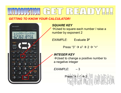#### HNTRODUCT

#### GETTING TO KNOW YOUR CALCULATOR!



SQUARE KEY

→ Used to square each number / raise a number by exponent 2

EXAMPLE: Evaluate 3<sup>2</sup> 2 and 2 and 2 and 2 and 2 and 2 and 2 and 2 and 2 and 2 and 2 and 2 and 2 and 2 and 2 and 2 and 2 and 2 and 2

Press "3"  $\rightarrow x^2 \rightarrow 2 \rightarrow$  "="

INTEGER KEY

 $\rightarrow$  Used to change a positive number to a negative integer

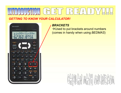#### HNTRODUCTI  $\mathsf D$

#### GETTING TO KNOW YOUR CALCULATOR!



#### **BRACKETS**

→ Used to put brackets around numbers (comes in handy when using BEDMAS)

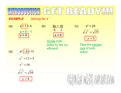# **EXAMPLE** Solving for 'x'<br>
(a)  $x_{1}^{1} = 5$  (b)  $2x = 18$  (c)  $x^2 = 25$ <br>  $x = 5 - 1$   $x = 4$   $x = 9$   $x = 9$   $x = 2$  $L = \text{Solving for 'x'}\n\begin{array}{c}\n\text{C.} & \text{D.} & \text{E.} \\
\hline\n\text{E.} & \text{Solving for 'x'} \\
\text{x=1} & \text{A.} \\
\text{x=2} & \text{x=3} \\
\hline\n\text{Divide both}\n\end{array}$  $\begin{array}{c|c|c|c} \hline \text{S} & \text{S} & \text{A} & \text{D} & \text{A} \\ \hline \end{array}$ <br>  $\begin{array}{c|c|c} \text{X'} & \text{X'} & \text{X''} & \text{X''} & \text{X''} \\ \hline \text{X} & \text{S} & \text{A} & \text{A} & \text{A} \\ \hline \text{X} & \text{S} & \text{A} & \text{A} & \text{A} \\ \hline \text{Divide both} & \text{X'} & \text{X''} & \text{X''} & \text{A} \\ \hline \text{Sides by the co-} & \$

**EXAMPLE** Solving for 'x'

 $\begin{array}{c} x = 5 - 1 \\ x = 4 \end{array}$ 

| <u>a Tan</u> |  | <u>(b</u> |
|--------------|--|-----------|
|              |  |           |
|              |  |           |
|              |  |           |
|              |  |           |

$$
\frac{2x}{2} = \frac{18}{2}
$$
  
x = 9

Solving for 'x'<br>  $\frac{-11}{1} = 5$  (b)  $\frac{2x}{2} = \frac{18}{2}$ <br>  $\frac{15 - 1}{1} = \frac{4}{1}$ <br>  $\frac{10 \text{ i} \text{ (b)}}{\text{ (c)}} = \frac{5 - 1}{1}$ <br>  $\frac{10 \text{ i} \text{ (c)}}{\text{ (d)}} = \frac{11}{1} + 5$ <br>  $\frac{11}{1} = 11 + 5$ sides by the coefficient!

25 <sup>2</sup> x x 5 root of both

Take the square sides!



$$
x^2 = 16
$$

$$
\sqrt{x^2} = \sqrt{16}
$$

$$
x = 4
$$

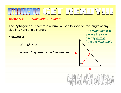#### HNIRODU CI D

**EXAMPLE** Pythagorean Theorem

The Pythagorean Theorem is a formula used to solve for the length of any side in a right angle triangle

FORMULA

 $c^2 = a^2 + b^2$ 

where 'c' represents the *hypotenuse* 



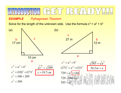**EXAMPLE** Pythagorean Theorem

Solve for the length of the unknown side. Use the formula  $c^2 = a^2 + b^2$ 

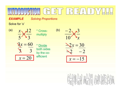# **EXAMPLE** Solving Proportions<br>
Solve for 'x'<br>
(a)  $\frac{x}{5} \times \frac{12}{3}$  \* Cross-<br>
(b)  $\frac{-2}{10} \times \frac{3}{x}$

**EXAMPLE** Solving Proportions

Solve for 'x'



 $\sqrt{3}x = 60$ 

 $x = 20$ 

\* Crossmultiply

\* Divide both sides by the coefficient

$$
\frac{x}{5} \times \frac{12}{3}
$$
  
multiply  

$$
\frac{3x}{10} \times \frac{3}{x}
$$
  

$$
\frac{3x}{10} = \frac{60}{x}
$$
  

$$
\frac{3x}{10} = \frac{30}{x}
$$
  

$$
\frac{3x}{10} = \frac{30}{x}
$$
  

$$
\frac{3x}{10} = \frac{30}{x}
$$
  

$$
\frac{3x}{10} = \frac{30}{x}
$$
  

$$
\frac{3x}{10} = \frac{30}{x}
$$
  

$$
\frac{3x}{10} = \frac{30}{x} = \frac{30}{15}
$$